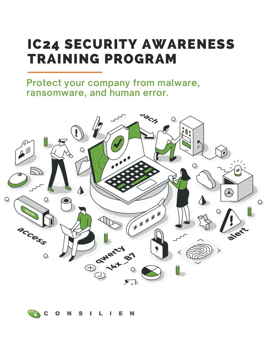# IC24 SECURITY AWARENESS TRAINING PROGRAM

**Protect your company from malware, ransomware, and human error.**



N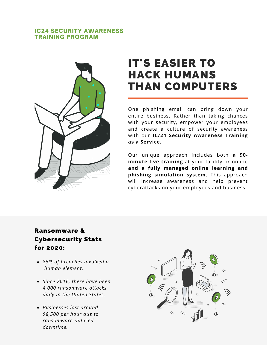#### IC24 SECURITY AWARENESS TRAINING PROGRAM



# IT'S EASIER TO HACK HUMANS THAN COMPUTERS

One phishing email can bring down your entire business. Rather than taking chances with your security, empower your employees and create a culture of security awareness with our **IC/24 Security Awareness Training as a Service.**

Our unique approach includes both **a 90 minute live training** at your facility or online **and a fully managed online learning and phishing simulation system.** This approach will increase awareness and help prevent cyberattacks on your employees and business.

## Ransomware & Cybersecurity Stats for 2020:

- *85% of breaches involved a human element*.
- *Since 2016, there have been 4,000 ransomware attacks daily in the United States.*
- *Businesses lost around \$8,500 per hour due to ransomware-induced downtime.*